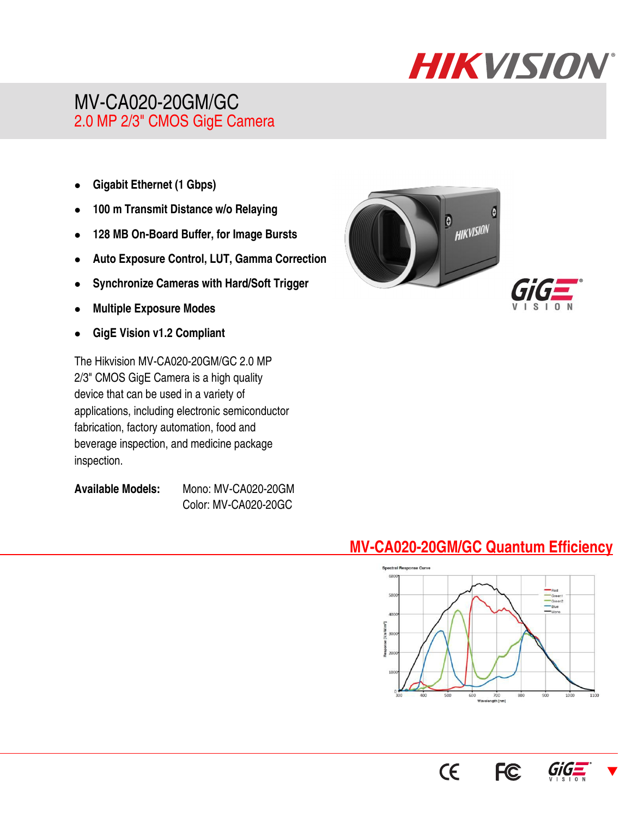

# MV-CA020-20GM/GC 2.0 MP 2/3" CMOS GigE Camera

- **Gigabit Ethernet (1 Gbps)**
- **100 m Transmit Distance w/o Relaying**
- **128 MB On-Board Buffer, for Image Bursts**
- **Auto Exposure Control, LUT, Gamma Correction**
- **Synchronize Cameras with Hard/Soft Trigger**
- **Multiple Exposure Modes**
- **GigE Vision v1.2 Compliant**

The Hikvision MV-CA020-20GM/GC 2.0 MP 2/3" CMOS GigE Camera is a high quality device that can be used in a variety of applications, including electronic semiconductor fabrication, factory automation, food and beverage inspection, and medicine package inspection.

**Available Models:** Mono: MV-CA020-20GM Color: MV-CA020-20GC





## **MV-CA020-20GM/GC Quantum Efficiency**